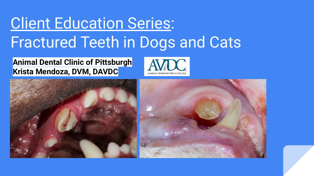## **Client Education Series:** Fractured Teeth in Dogs and Cats

### **Animal Dental Clinic of Pittsburgh Krista Mendoza, DVM, DAVDC**





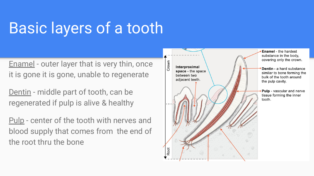## Basic layers of a tooth

Enamel - outer layer that is very thin, once it is gone it is gone, unable to regenerate

Dentin - middle part of tooth, can be regenerated if pulp is alive & healthy

Pulp - center of the tooth with nerves and blood supply that comes from the end of the root thru the bone

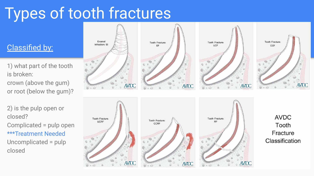## Types of tooth fractures

### Classified by:

- 1) what part of the tooth is broken: crown (above the gum) or root (below the gum)?
- 2) is the pulp open or closed? Complicated = pulp open \*\*\*Treatment Needed Uncomplicated = pulp closed

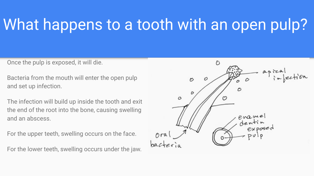## What happens to a tooth with an open pulp?

Once the pulp is exposed, it will die.

Bacteria from the mouth will enter the open pulp and set up infection.

The infection will build up inside the tooth and exit the end of the root into the bone, causing swelling and an abscess.

For the upper teeth, swelling occurs on the face.

For the lower teeth, swelling occurs under the jaw.

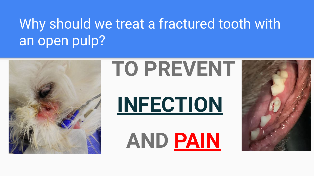## Why should we treat a fractured tooth with an open pulp?



# **TO PREVENT**

 **INFECTION**

**AND PAIN**

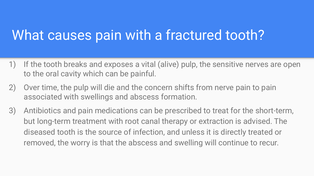### What causes pain with a fractured tooth?

- 1) If the tooth breaks and exposes a vital (alive) pulp, the sensitive nerves are open to the oral cavity which can be painful.
- 2) Over time, the pulp will die and the concern shifts from nerve pain to pain associated with swellings and abscess formation.
- 3) Antibiotics and pain medications can be prescribed to treat for the short-term, but long-term treatment with root canal therapy or extraction is advised. The diseased tooth is the source of infection, and unless it is directly treated or removed, the worry is that the abscess and swelling will continue to recur.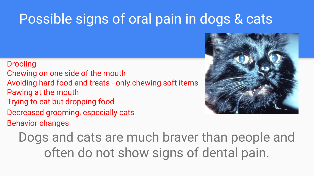### Possible signs of oral pain in dogs & cats

#### Drooling

- Chewing on one side of the mouth
- Avoiding hard food and treats only chewing soft items Pawing at the mouth
- Trying to eat but dropping food
- Decreased grooming, especially cats
- Behavior changes

Dogs and cats are much braver than people and often do not show signs of dental pain.

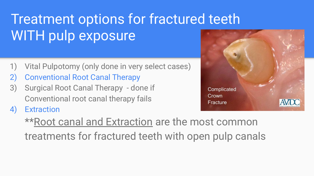## Treatment options for fractured teeth WITH pulp exposure

- 1) Vital Pulpotomy (only done in very select cases)
- 2) Conventional Root Canal Therapy
- 3) Surgical Root Canal Therapy done if Conventional root canal therapy fails
- 4) Extraction



\*\*Root canal and Extraction are the most common treatments for fractured teeth with open pulp canals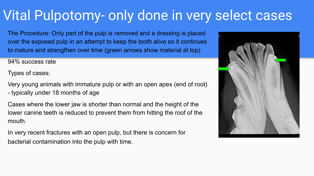### Vital Pulpotomy- only done in very select cases

The Procedure: Only part of the pulp is removed and a dressing is placed over the exposed pulp in an attempt to keep the tooth alive so it continues to mature and strengthen over time (green arrows show material at top)

94% success rate

Types of cases:

Very young animals with immature pulp or with an open apex (end of root) - typically under 18 months of age

Cases where the lower jaw is shorter than normal and the height of the lower canine teeth is reduced to prevent them from hitting the roof of the mouth.

In very recent fractures with an open pulp, but there is concern for bacterial contamination into the pulp with time.

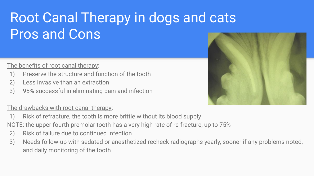## Root Canal Therapy in dogs and cats Pros and Cons

#### The benefits of root canal therapy:

- 1) Preserve the structure and function of the tooth
- 2) Less invasive than an extraction
- 3) 95% successful in eliminating pain and infection

#### The drawbacks with root canal therapy:

- 1) Risk of refracture, the tooth is more brittle without its blood supply
- NOTE: the upper fourth premolar tooth has a very high rate of re-fracture, up to 75%
- 2) Risk of failure due to continued infection
- 3) Needs follow-up with sedated or anesthetized recheck radiographs yearly, sooner if any problems noted, and daily monitoring of the tooth

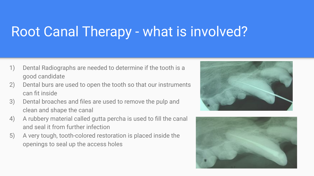### Root Canal Therapy - what is involved?

- 1) Dental Radiographs are needed to determine if the tooth is a good candidate
- 2) Dental burs are used to open the tooth so that our instruments can fit inside
- 3) Dental broaches and files are used to remove the pulp and clean and shape the canal
- 4) A rubbery material called gutta percha is used to fill the canal and seal it from further infection
- 5) A very tough, tooth-colored restoration is placed inside the openings to seal up the access holes



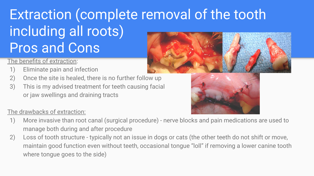## Extraction (complete removal of the tooth including all roots) Pros and Cons

### The benefits of extraction:

- 1) Eliminate pain and infection
- 2) Once the site is healed, there is no further follow up
- 3) This is my advised treatment for teeth causing facial or jaw swellings and draining tracts

#### The drawbacks of extraction:





- 1) More invasive than root canal (surgical procedure) nerve blocks and pain medications are used to manage both during and after procedure
- 2) Loss of tooth structure typically not an issue in dogs or cats (the other teeth do not shift or move, maintain good function even without teeth, occasional tongue "loll" if removing a lower canine tooth where tongue goes to the side)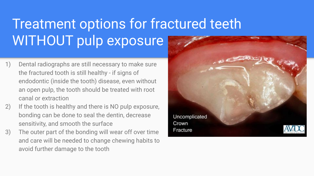## Treatment options for fractured teeth WITHOUT pulp exposure

- 1) Dental radiographs are still necessary to make sure the fractured tooth is still healthy - if signs of endodontic (inside the tooth) disease, even without an open pulp, the tooth should be treated with root canal or extraction
- 2) If the tooth is healthy and there is NO pulp exposure, bonding can be done to seal the dentin, decrease sensitivity, and smooth the surface
- 3) The outer part of the bonding will wear off over time and care will be needed to change chewing habits to avoid further damage to the tooth